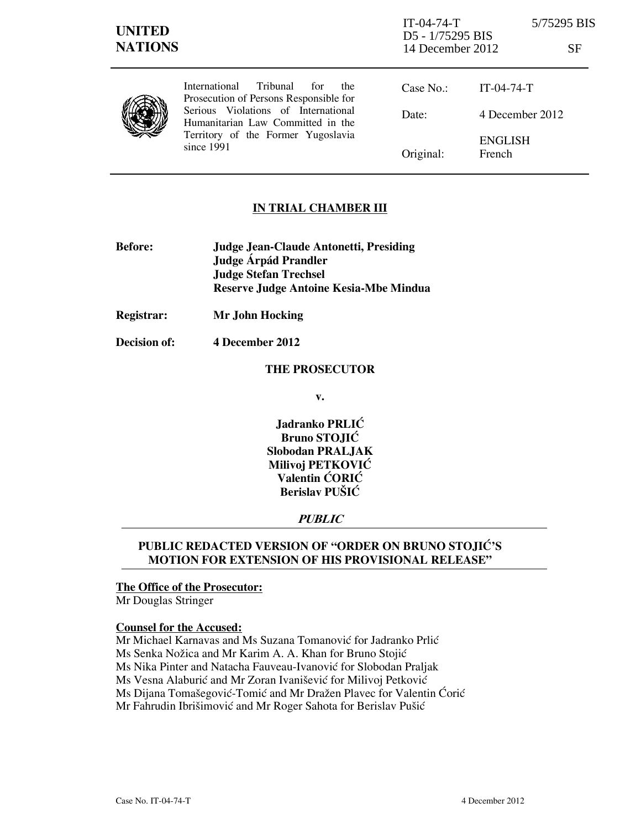## **IN TRIAL CHAMBER III**

- **Before: Judge Jean-Claude Antonetti, Presiding Judge Árpád Prandler Judge Stefan Trechsel Reserve Judge Antoine Kesia-Mbe Mindua**
- **Registrar: Mr John Hocking**
- **Decision of: 4 December 2012**

#### **THE PROSECUTOR**

**v.** 

**Jadranko PRLIĆ Bruno STOJIĆ Slobodan PRALJAK Milivoj PETKOVIĆ Valentin CORIC Berislav PUŠIĆ** 

# **PUBLIC**

## PUBLIC REDACTED VERSION OF "ORDER ON BRUNO STOJIĆ'S **MOTION FOR EXTENSION OF HIS PROVISIONAL RELEASE"**

## **The Office of the Prosecutor:**

Mr Douglas Stringer

#### **Counsel for the Accused:**

Mr Michael Karnavas and Ms Suzana Tomanović for Jadranko Prlić Ms Senka Nožica and Mr Karim A. A. Khan for Bruno Stojić Ms Nika Pinter and Natacha Fauveau-Ivanović for Slobodan Praljak Ms Vesna Alaburić and Mr Zoran Ivanišević for Milivoj Petković Ms Dijana Tomašegović-Tomić and Mr Dražen Plavec for Valentin Ćorić Mr Fahrudin Ibrišimović and Mr Roger Sahota for Berislav Pušić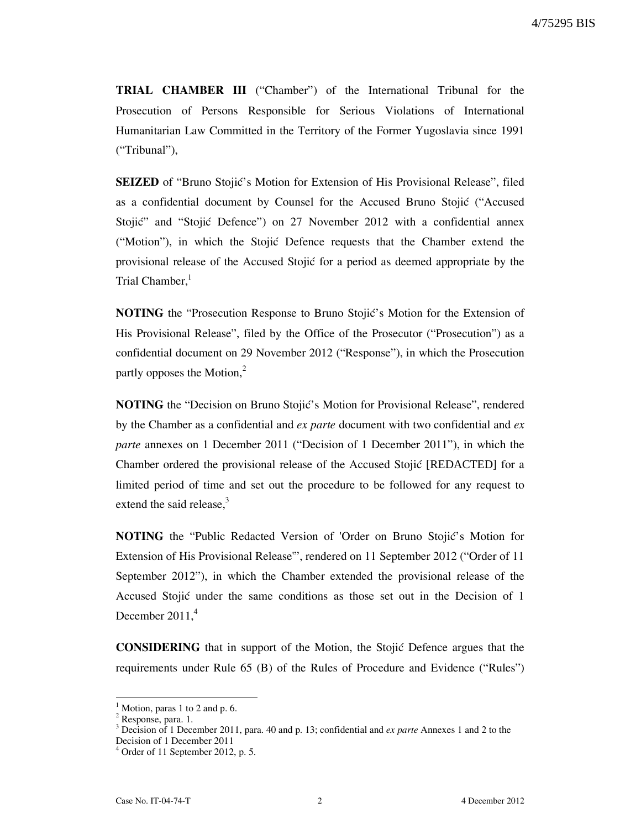**TRIAL CHAMBER III** ("Chamber") of the International Tribunal for the Prosecution of Persons Responsible for Serious Violations of International Humanitarian Law Committed in the Territory of the Former Yugoslavia since 1991 ("Tribunal"),

**SEIZED** of "Bruno Stojić's Motion for Extension of His Provisional Release", filed as a confidential document by Counsel for the Accused Bruno Stojić ("Accused Stojić" and "Stojić Defence") on 27 November 2012 with a confidential annex ("Motion"), in which the Stojic Defence requests that the Chamber extend the provisional release of the Accused Stojić for a period as deemed appropriate by the Trial Chamber,<sup>1</sup>

**NOTING** the "Prosecution Response to Bruno Stojić's Motion for the Extension of His Provisional Release", filed by the Office of the Prosecutor ("Prosecution") as a confidential document on 29 November 2012 ("Response"), in which the Prosecution partly opposes the Motion, $<sup>2</sup>$ </sup>

**NOTING** the "Decision on Bruno Stojić's Motion for Provisional Release", rendered by the Chamber as a confidential and *ex parte* document with two confidential and *ex parte* annexes on 1 December 2011 ("Decision of 1 December 2011"), in which the Chamber ordered the provisional release of the Accused Stojić [REDACTED] for a limited period of time and set out the procedure to be followed for any request to extend the said release, $3$ 

**NOTING** the "Public Redacted Version of 'Order on Bruno Stojić's Motion for Extension of His Provisional Release'", rendered on 11 September 2012 ("Order of 11 September 2012"), in which the Chamber extended the provisional release of the Accused Stojić under the same conditions as those set out in the Decision of 1 December  $2011<sup>4</sup>$ 

**CONSIDERING** that in support of the Motion, the Stojic Defence argues that the requirements under Rule 65 (B) of the Rules of Procedure and Evidence ("Rules")

 $\overline{a}$ 

 $<sup>1</sup>$  Motion, paras 1 to 2 and p. 6.</sup>

<sup>&</sup>lt;sup>2</sup> Response, para. 1.

<sup>3</sup> Decision of 1 December 2011, para. 40 and p. 13; confidential and *ex parte* Annexes 1 and 2 to the Decision of 1 December 2011

<sup>4</sup> Order of 11 September 2012, p. 5.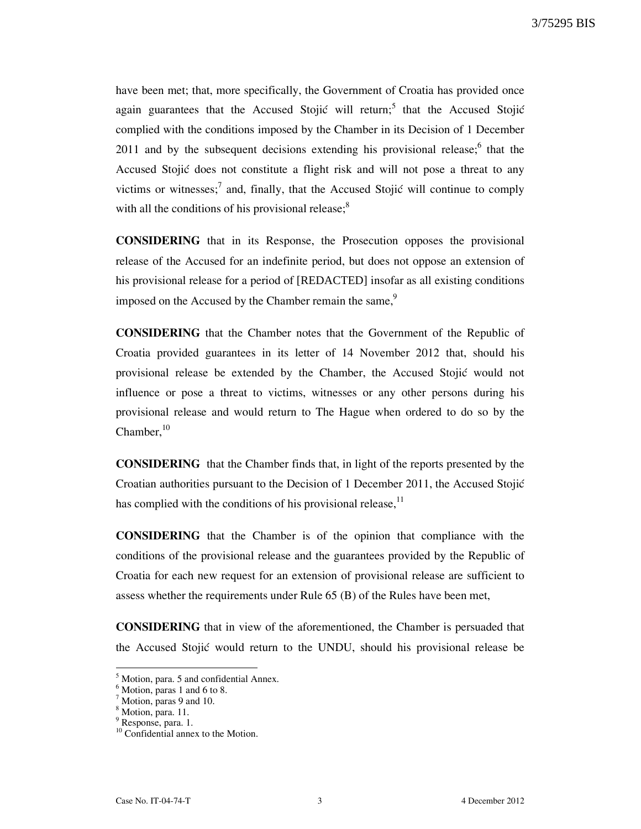have been met; that, more specifically, the Government of Croatia has provided once again guarantees that the Accused Stojić will return;<sup>5</sup> that the Accused Stojić complied with the conditions imposed by the Chamber in its Decision of 1 December 2011 and by the subsequent decisions extending his provisional release; $6$  that the Accused Stojić does not constitute a flight risk and will not pose a threat to any victims or witnesses;<sup>7</sup> and, finally, that the Accused Stojić will continue to comply with all the conditions of his provisional release; $\delta$ 

**CONSIDERING** that in its Response, the Prosecution opposes the provisional release of the Accused for an indefinite period, but does not oppose an extension of his provisional release for a period of [REDACTED] insofar as all existing conditions imposed on the Accused by the Chamber remain the same,<sup>9</sup>

**CONSIDERING** that the Chamber notes that the Government of the Republic of Croatia provided guarantees in its letter of 14 November 2012 that, should his provisional release be extended by the Chamber, the Accused Stojić would not influence or pose a threat to victims, witnesses or any other persons during his provisional release and would return to The Hague when ordered to do so by the Chamber, $10$ 

**CONSIDERING** that the Chamber finds that, in light of the reports presented by the Croatian authorities pursuant to the Decision of 1 December 2011, the Accused Stojić has complied with the conditions of his provisional release,  $11$ 

**CONSIDERING** that the Chamber is of the opinion that compliance with the conditions of the provisional release and the guarantees provided by the Republic of Croatia for each new request for an extension of provisional release are sufficient to assess whether the requirements under Rule 65 (B) of the Rules have been met,

**CONSIDERING** that in view of the aforementioned, the Chamber is persuaded that the Accused Stojić would return to the UNDU, should his provisional release be

 5 Motion, para. 5 and confidential Annex.

<sup>6</sup> Motion, paras 1 and 6 to 8.

<sup>&</sup>lt;sup>7</sup> Motion, paras 9 and 10.

<sup>&</sup>lt;sup>8</sup> Motion, para. 11.

<sup>&</sup>lt;sup>9</sup> Response, para. 1.

 $10$  Confidential annex to the Motion.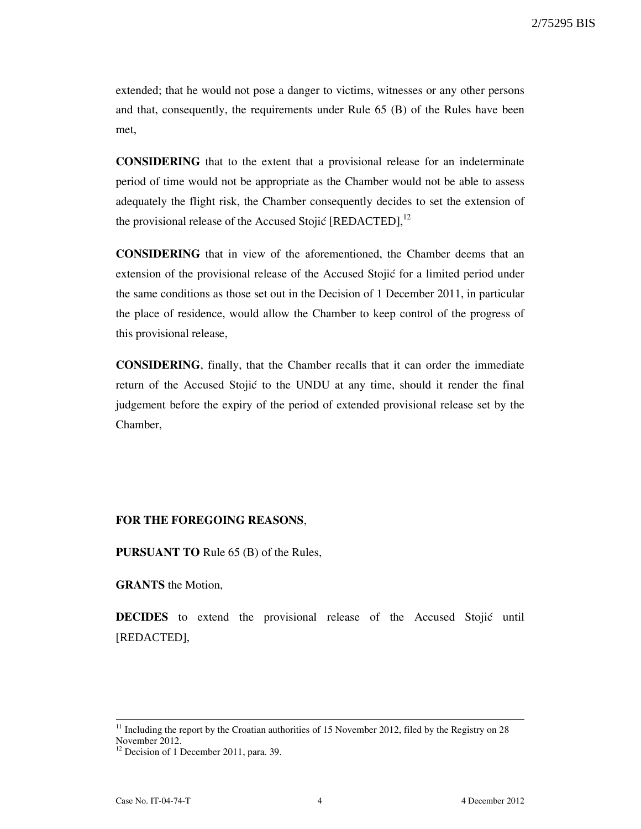extended; that he would not pose a danger to victims, witnesses or any other persons and that, consequently, the requirements under Rule 65 (B) of the Rules have been met,

**CONSIDERING** that to the extent that a provisional release for an indeterminate period of time would not be appropriate as the Chamber would not be able to assess adequately the flight risk, the Chamber consequently decides to set the extension of the provisional release of the Accused Stojić [REDACTED], $^{12}$ 

**CONSIDERING** that in view of the aforementioned, the Chamber deems that an extension of the provisional release of the Accused Stojić for a limited period under the same conditions as those set out in the Decision of 1 December 2011, in particular the place of residence, would allow the Chamber to keep control of the progress of this provisional release,

**CONSIDERING**, finally, that the Chamber recalls that it can order the immediate return of the Accused Stojić to the UNDU at any time, should it render the final judgement before the expiry of the period of extended provisional release set by the Chamber,

#### **FOR THE FOREGOING REASONS**,

**PURSUANT TO** Rule 65 (B) of the Rules,

**GRANTS** the Motion,

**DECIDES** to extend the provisional release of the Accused Stojić until [REDACTED],

 $\overline{a}$ 

 $11$  Including the report by the Croatian authorities of 15 November 2012, filed by the Registry on 28 November 2012.

 $12$  Decision of 1 December 2011, para. 39.